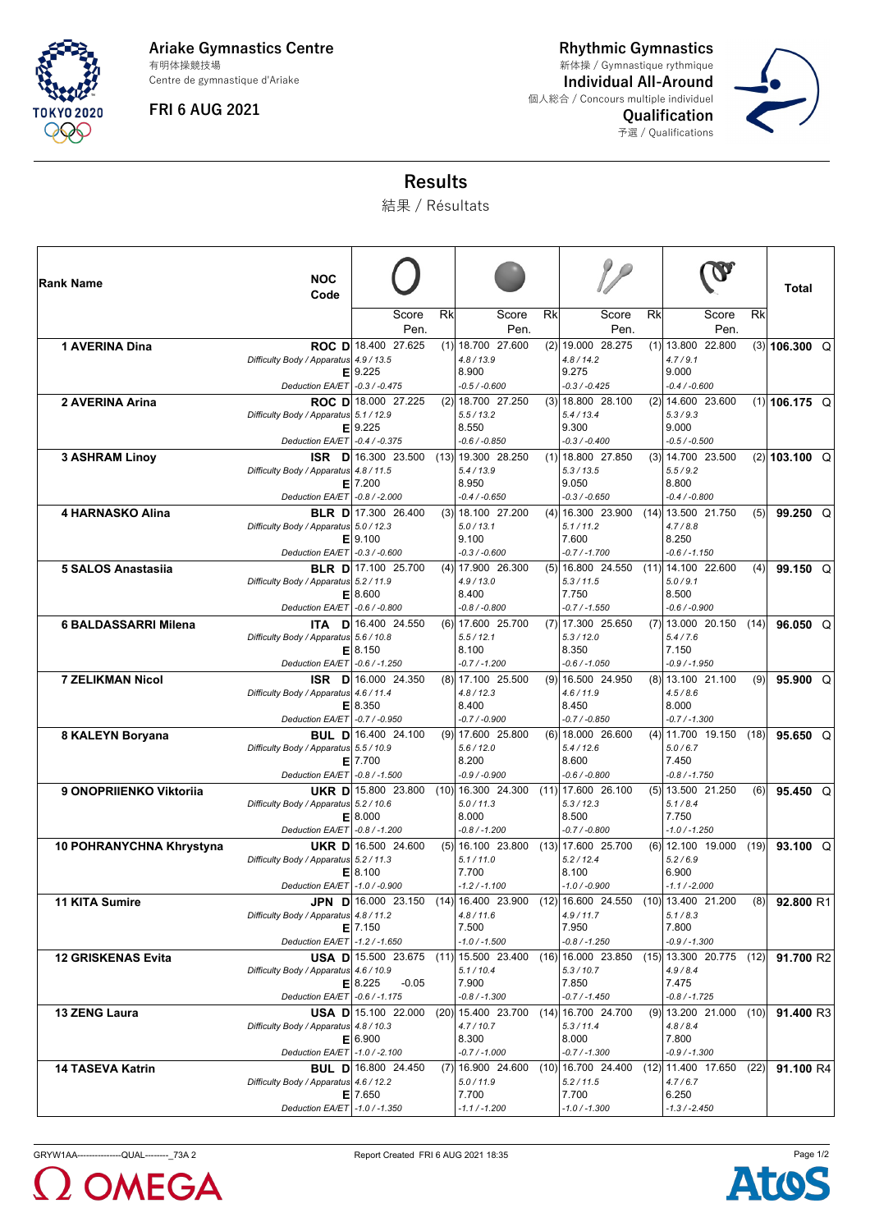

**Ariake Gymnastics Centre** Centre de gymnastique d'Ariake 有明体操競技場

**FRI 6 AUG 2021**

**Rhythmic Gymnastics Individual All-Around** 個人総合 / Concours multiple individuel **Qualification** 予選 / Qualifications 新体操 / Gymnastique rythmique



## **Results**

結果 / Résultats

| ∣Rank Name                | <b>NOC</b><br>Code                     |                                               |    |                                                                                           |    |                                           |    |                                                                |      | Total             |
|---------------------------|----------------------------------------|-----------------------------------------------|----|-------------------------------------------------------------------------------------------|----|-------------------------------------------|----|----------------------------------------------------------------|------|-------------------|
|                           |                                        | Score<br>Pen.                                 | Rk | Score<br>Pen.                                                                             | Rk | Score<br>Pen.                             | Rk | Score<br>Pen.                                                  | Rk   |                   |
| 1 AVERINA Dina            |                                        | ROC D 18.400 27.625                           |    | $(1)$ 18.700 27.600                                                                       |    | $(2)$ 19.000 28.275                       |    | $(1)$   13.800 22.800                                          |      | $(3)$ 106.300 Q   |
|                           | Difficulty Body / Apparatus 4.9 / 13.5 |                                               |    | 4.8 / 13.9                                                                                |    | 4.8 / 14.2                                |    | 4.7/9.1                                                        |      |                   |
|                           | Е<br>Deduction EA/ET   -0.3 / -0.475   | 9.225                                         |    | 8.900<br>$-0.5 / -0.600$                                                                  |    | 9.275<br>$-0.3 / -0.425$                  |    | 9.000<br>$-0.4 / -0.600$                                       |      |                   |
| 2 AVERINA Arina           |                                        | ROC D 18.000 27.225                           |    | $(2)$ 18.700 27.250                                                                       |    | $(3)$ 18.800 28.100                       |    | $(2)$ 14.600 23.600                                            |      | $(1)$ 106.175 Q   |
|                           | Difficulty Body / Apparatus 5.1 / 12.9 |                                               |    | 5.5/13.2                                                                                  |    | 5.4/13.4                                  |    | 5.3 / 9.3                                                      |      |                   |
|                           | Deduction EA/ET - 0.4 / -0.375         | $E$   9.225                                   |    | 8.550<br>$-0.6 / -0.850$                                                                  |    | 9.300<br>$-0.3 / -0.400$                  |    | 9.000<br>$-0.5 / -0.500$                                       |      |                   |
| <b>3 ASHRAM Linoy</b>     |                                        | ISR D 16.300 23.500                           |    | $(13)$ 19.300 28.250                                                                      |    | $(1)$ 18.800 27.850                       |    | $(3)$ 14.700 23.500                                            |      | $(2)$   103.100 Q |
|                           | Difficulty Body / Apparatus 4.8 / 11.5 |                                               |    | 5.4 / 13.9                                                                                |    | 5.3 / 13.5                                |    | 5.5/9.2                                                        |      |                   |
|                           | Deduction EA/ET - 0.8 / - 2.000        | $E$   7.200                                   |    | 8.950<br>$-0.4 / -0.650$                                                                  |    | 9.050<br>$-0.3 / -0.650$                  |    | 8.800<br>$-0.4 / -0.800$                                       |      |                   |
| <b>4 HARNASKO Alina</b>   |                                        | <b>BLR D</b> 17.300 26.400                    |    | $(3)$ 18.100 27.200                                                                       |    | $(4)$ 16.300 23.900                       |    | $(14)$   13.500 21.750                                         | (5)  | $99.250$ Q        |
|                           | Difficulty Body / Apparatus 5.0 / 12.3 |                                               |    | 5.0 / 13.1                                                                                |    | 5.1/11.2                                  |    | 4.7/8.8                                                        |      |                   |
|                           | Е                                      | 9.100                                         |    | 9.100                                                                                     |    | 7.600                                     |    | 8.250                                                          |      |                   |
| 5 SALOS Anastasiia        | Deduction EA/ET - 0.3 / -0.600         | <b>BLR D</b> 17.100 25.700                    |    | $-0.3 / -0.600$<br>$(4)$ 17.900 26.300                                                    |    | $-0.7 / -1.700$<br>$(5)$ 16.800 24.550    |    | $-0.6 / -1.150$<br>$(11)$   14.100 22.600                      | (4)  | 99.150 $Q$        |
|                           | Difficulty Body / Apparatus 5.2 / 11.9 |                                               |    | 4.9 / 13.0                                                                                |    | 5.3 / 11.5                                |    | 5.0 / 9.1                                                      |      |                   |
|                           |                                        | E 8.600                                       |    | 8.400                                                                                     |    | 7.750                                     |    | 8.500                                                          |      |                   |
| 6 BALDASSARRI Milena      | Deduction EA/ET - 0.6 / -0.800         | <b>ITA D</b> 16.400 24.550                    |    | $-0.8 / -0.800$<br>$(6)$ 17.600 25.700                                                    |    | $-0.7 / -1.550$<br>$(7)$ 17.300 25.650    |    | $-0.6 / -0.900$<br>$(7)$ 13.000 20.150                         | (14) | $96.050$ Q        |
|                           | Difficulty Body / Apparatus 5.6 / 10.8 |                                               |    | 5.5/12.1                                                                                  |    | 5.3 / 12.0                                |    | 5.4 / 7.6                                                      |      |                   |
|                           |                                        | E18.150                                       |    | 8.100                                                                                     |    | 8.350                                     |    | 7.150                                                          |      |                   |
| <b>7 ZELIKMAN Nicol</b>   | Deduction EA/ET                        | $-0.6 / -1.250$<br><b>ISR D</b> 16.000 24.350 |    | $-0.7 / -1.200$<br>$(8)$ 17.100 25.500                                                    |    | $-0.6 / -1.050$<br>$(9)$ 16.500 24.950    |    | $-0.9 / -1.950$<br>$(8)$   13.100 21.100                       | (9)  | $95.900$ Q        |
|                           | Difficulty Body / Apparatus 4.6 / 11.4 |                                               |    | 4.8 / 12.3                                                                                |    | 4.6 / 11.9                                |    | 4.5/8.6                                                        |      |                   |
|                           |                                        | E18.350                                       |    | 8.400                                                                                     |    | 8.450                                     |    | 8.000                                                          |      |                   |
| 8 KALEYN Boryana          | Deduction EA/ET   -0.7 / -0.950        | <b>BUL D</b> 16.400 24.100                    |    | $-0.7 / -0.900$<br>$(9)$ 17.600 25.800                                                    |    | $-0.7 / -0.850$<br>$(6)$ 18.000 26.600    |    | $-0.7 / -1.300$<br>$(4)$   11.700 19.150                       | (18) | 95.650 $Q$        |
|                           | Difficulty Body / Apparatus 5.5 / 10.9 |                                               |    | 5.6 / 12.0                                                                                |    | 5.4/12.6                                  |    | 5.0/6.7                                                        |      |                   |
|                           |                                        | $E$   7.700                                   |    | 8.200                                                                                     |    | 8.600                                     |    | 7.450                                                          |      |                   |
| 9 ONOPRIIENKO Viktoriia   | Deduction EA/ET - 0.8 / -1.500         | <b>UKR D</b> 15.800 23.800                    |    | $-0.9/ -0.900$<br>$(10)$ 16.300 24.300                                                    |    | $-0.6 / -0.800$<br>$(11)$   17.600 26.100 |    | $-0.8 / -1.750$<br>$(5)$   13.500 21.250                       | (6)  | 95.450 Q          |
|                           | Difficulty Body / Apparatus 5.2 / 10.6 |                                               |    | 5.0 / 11.3                                                                                |    | 5.3 / 12.3                                |    | 5.1/8.4                                                        |      |                   |
|                           |                                        | E 8.000                                       |    | 8.000                                                                                     |    | 8.500                                     |    | 7.750                                                          |      |                   |
| 10 POHRANYCHNA Khrystyna  | Deduction EA/ET - 0.8 / -1.200         | UKR D 16.500 24.600                           |    | $-0.8 / -1.200$<br>$(5)$ 16.100 23.800                                                    |    | $-0.7 / -0.800$<br>$(13)$ 17.600 25.700   |    | $-1.0 / -1.250$<br>$(6)$ 12.100 19.000                         | (19) | 93.100 Q          |
|                           | Difficulty Body / Apparatus 5.2 / 11.3 |                                               |    | 5.1/11.0                                                                                  |    | 5.2 / 12.4                                |    | 5.2/6.9                                                        |      |                   |
|                           |                                        | E 8.100                                       |    | 7.700                                                                                     |    | 8.100                                     |    | 6.900                                                          |      |                   |
| 11 KITA Sumire            | Deduction EA/ET   -1.0 / -0.900        | <b>JPN D</b> 16.000 23.150                    |    | $-1.2 / -1.100$<br>$(14)$ 16.400 23.900                                                   |    | $-1.0 / -0.900$<br>$(12)$ 16.600 24.550   |    | $-1.1 / -2.000$<br>$(10)$ 13.400 21.200                        | (8)  | 92.800 R1         |
|                           | Difficulty Body / Apparatus 4.8 / 11.2 |                                               |    | 4.8 / 11.6                                                                                |    | 4.9/11.7                                  |    | 5.1 / 8.3                                                      |      |                   |
|                           |                                        | $E$   7.150                                   |    | 7.500                                                                                     |    | 7.950                                     |    | 7.800                                                          |      |                   |
| <b>12 GRISKENAS Evita</b> | Deduction EA/ET -1.2 / -1.650          |                                               |    | $-1.0 / -1.500$<br><b>USA D</b>   15.500 23.675 (11)   15.500 23.400 (16)   16.000 23.850 |    | $-0.8 / -1.250$                           |    | -0.9 / -1.300<br>$(15)$   13.300 20.775 (12)  <b>91.700</b> R2 |      |                   |
|                           | Difficulty Body / Apparatus 4.6 / 10.9 |                                               |    | 5.1/10.4                                                                                  |    | 5.3 / 10.7                                |    | 4.9/8.4                                                        |      |                   |
|                           |                                        | E 8.225<br>$-0.05$                            |    | 7.900                                                                                     |    | 7.850                                     |    | 7.475                                                          |      |                   |
| <b>13 ZENG Laura</b>      | Deduction EA/ET - 0.6 / -1.175         |                                               |    | $-0.8 / -1.300$<br><b>USA D</b> 15.100 22.000 (20) 15.400 23.700 (14) 16.700 24.700       |    | $-0.7 / -1.450$                           |    | $-0.8 / -1.725$<br>$(9)$   13.200 21.000                       |      | $(10)$ 91.400 R3  |
|                           | Difficulty Body / Apparatus 4.8 / 10.3 |                                               |    | 4.7 / 10.7                                                                                |    | 5.3/11.4                                  |    | 4.8/8.4                                                        |      |                   |
|                           |                                        | E 6.900                                       |    | 8.300                                                                                     |    | 8.000                                     |    | 7.800                                                          |      |                   |
|                           | Deduction EA/ET -1.0 / -2.100          | <b>BUL D</b> 16.800 24.450                    |    | $-0.7 / -1.000$<br>$(7)$ 16.900 24.600                                                    |    | $-0.7 / -1.300$<br>$(10)$ 16.700 24.400   |    | $-0.9 / -1.300$<br>$(12)$   11.400 17.650                      | (22) |                   |
| <b>14 TASEVA Katrin</b>   | Difficulty Body / Apparatus 4.6 / 12.2 |                                               |    | 5.0 / 11.9                                                                                |    | 5.2 / 11.5                                |    | 4.7/6.7                                                        |      | 91.100 R4         |
|                           |                                        | $E$   7.650                                   |    | 7.700                                                                                     |    | 7.700                                     |    | 6.250                                                          |      |                   |
|                           | Deduction EA/ET -1.0 / -1.350          |                                               |    | $-1.1 / -1.200$                                                                           |    | -1.0 / -1.300                             |    | $-1.3 / -2.450$                                                |      |                   |

GRYW1AA----------------QUAL----------\_73A 2 <br>
Report Created FRI 6 AUG 2021 18:35

**LOMEGA**